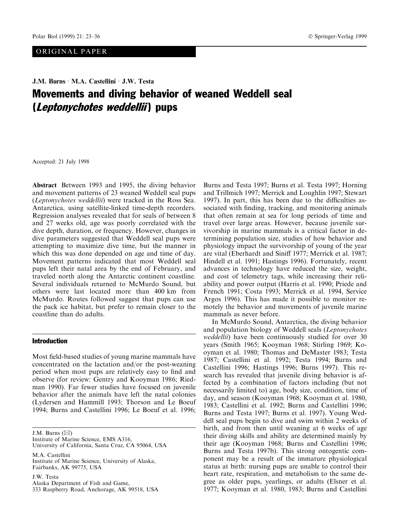# J.M. Burns · M.A. Castellini · J.W. Testa Movements and diving behavior of weaned Weddell seal (Leptonychotes weddellii) pups

Accepted: 21 July 1998

Abstract Between 1993 and 1995, the diving behavior and movement patterns of 23 weaned Weddell seal pups (Leptonychotes weddellii) were tracked in the Ross Sea. Antarctica, using satellite-linked time-depth recorders. Regression analyses revealed that for seals of between 8 and 27 weeks old, age was poorly correlated with the dive depth, duration, or frequency. However, changes in dive parameters suggested that Weddell seal pups were attempting to maximize dive time, but the manner in which this was done depended on age and time of day. Movement patterns indicated that most Weddell seal pups left their natal area by the end of February, and traveled north along the Antarctic continent coastline. Several individuals returned to McMurdo Sound, but others were last located more than 400 km from McMurdo. Routes followed suggest that pups can use the pack ice habitat, but prefer to remain closer to the coastline than do adults.

# Introduction

Most field-based studies of young marine mammals have concentrated on the lactation and/or the post-weaning period when most pups are relatively easy to find and observe (for review: Gentry and Kooyman 1986; Riedman 1990). Far fewer studies have focused on juvenile behavior after the animals have left the natal colonies (Lydersen and Hammill 1993; Thorson and Le Boeuf 1994; Burns and Castellini 1996; Le Boeuf et al. 1996;

J.M. Burns  $(\boxtimes)$ 

Institute of Marine Science, EMS A316, University of California, Santa Cruz, CA 95064, USA

M.A. Castellini Institute of Marine Science, University of Alaska, Fairbanks, AK 99775, USA

J.W. Testa Alaska Department of Fish and Game, 333 Raspberry Road, Anchorage, AK 99518, USA

Burns and Testa 1997; Burns et al. Testa 1997; Horning and Trillmich 1997; Merrick and Loughlin 1997; Stewart 1997). In part, this has been due to the difficulties associated with finding, tracking, and monitoring animals that often remain at sea for long periods of time and travel over large areas. However, because juvenile survivorship in marine mammals is a critical factor in determining population size, studies of how behavior and physiology impact the survivorship of young of the year are vital (Eberhardt and Siniff 1977; Merrick et al. 1987; Hindell et al. 1991; Hastings 1996). Fortunately, recent advances in technology have reduced the size, weight, and cost of telemetry tags, while increasing their reliability and power output (Harris et al. 1990; Priede and French 1991; Costa 1993; Merrick et al. 1994, Service Argos 1996). This has made it possible to monitor remotely the behavior and movements of juvenile marine mammals as never before.

In McMurdo Sound, Antarctica, the diving behavior and population biology of Weddell seals (Leptonychotes weddellii) have been continuously studied for over 30 years (Smith 1965; Kooyman 1968; Stirling 1969; Kooyman et al. 1980; Thomas and DeMaster 1983; Testa 1987; Castellini et al. 1992; Testa 1994; Burns and Castellini 1996; Hastings 1996; Burns 1997). This research has revealed that juvenile diving behavior is affected by a combination of factors including (but not necessarily limited to) age, body size, condition, time of day, and season (Kooyman 1968; Kooyman et al. 1980, 1983; Castellini et al. 1992; Burns and Castellini 1996; Burns and Testa 1997; Burns et al. 1997). Young Weddell seal pups begin to dive and swim within 2 weeks of birth, and from then until weaning at 6 weeks of age their diving skills and ability are determined mainly by their age (Kooyman 1968; Burns and Castellini 1996; Burns and Testa 1997b). This strong ontogentic component may be a result of the immature physiological status at birth: nursing pups are unable to control their heart rate, respiration, and metabolism to the same degree as older pups, yearlings, or adults (Elsner et al. 1977; Kooyman et al. 1980, 1983; Burns and Castellini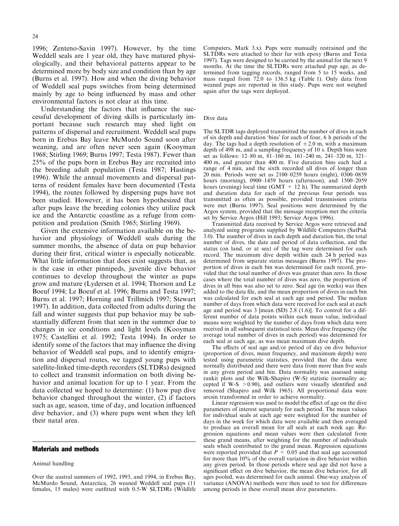1996; Zenteno-Savin 1997). However, by the time Weddell seals are 1 year old, they have matured physiologically, and their behavioral patterns appear to be determined more by body size and condition than by age (Burns et al. 1997). How and when the diving behavior of Weddell seal pups switches from being determined mainly by age to being influenced by mass and other environmental factors is not clear at this time.

Understanding the factors that influence the successful development of diving skills is particularly important because such research may shed light on patterns of dispersal and recruitment. Weddell seal pups born in Erebus Bay leave McMurdo Sound soon after weaning, and are often never seen again (Kooyman 1968; Stirling 1969; Burns 1997; Testa 1987). Fewer than 25% of the pups born in Erebus Bay are recruited into the breeding adult population (Testa 1987; Hastings 1996). While the annual movements and dispersal patterns of resident females have been documented (Testa 1994), the routes followed by dispersing pups have not been studied. However, it has been hypothesized that after pups leave the breeding colonies they utilize pack ice and the Antarctic coastline as a refuge from competition and predation (Smith 1965; Stirling 1969).

Given the extensive information available on the behavior and physiology of Weddell seals during the summer months, the absence of data on pup behavior during their first, critical winter is especially noticeable. What little information that does exist suggests that, as is the case in other pinnipeds, juvenile dive behavior continues to develop throughout the winter as pups grow and mature (Lydersen et al. 1994; Thorson and Le Boeuf 1994; Le Boeuf et al. 1996; Burns and Testa 1997; Burns et al. 1997; Horning and Trillmich 1997; Stewart 1997). In addition, data collected from adults during the fall and winter suggests that pup behavior may be substantially different from that seen in the summer due to changes in ice conditions and light levels (Kooyman 1975; Castellini et al. 1992; Testa 1994). In order to identify some of the factors that may influence the diving behavior of Weddell seal pups, and to identify emigration and dispersal routes, we tagged young pups with satellite-linked time-depth recorders (SLTDRs) designed to collect and transmit information on both diving behavior and animal location for up to 1 year. From the data collected we hoped to determine: (1) how pup dive behavior changed throughout the winter, (2) if factors such as age, season, time of day, and location influenced dive behavior, and (3) where pups went when they left their natal area.

## Materials and methods

#### Animal handling

Over the austral summers of 1992, 1993, and 1994, in Erebus Bay, McMurdo Sound, Antarctica, 26 weaned Weddell seal pups (11 females, 15 males) were outfitted with 0.5-W SLTDRs (Wildlife Computers, Mark 3.x). Pups were manually restrained and the SLTDRs were attached to their fur with epoxy (Burns and Testa 1997). Tags were designed to be carried by the animal for the next 9 months. At the time the SLTDRs were attached pup age, as determined from tagging records, ranged from 5 to 15 weeks, and mass ranged from 72.0 to 136.5 kg (Table 1). Only data from weaned pups are reported in this study. Pups were not weighed again after the tags were deployed.

#### Dive data

The SLTDR tags deployed transmitted the number of dives in each of six depth and duration `bins' for each of four, 6 h periods of the day. The tags had a depth resolution of  $\pm 2.0$  m, with a maximum depth of 498 m, and a sampling frequency of 10 s. Depth bins were set as follows:  $12-80$  m,  $81-160$  m,  $161-240$  m,  $241-320$  m,  $321-$ 400 m, and greater than 400 m. Five duration bins each had a range of 4 min, and the sixth recorded all dives of longer than 20 min. Periods were set as 2100-0259 hours (night), 0300-0859 hours (morning),  $0900-1459$  hours (afternoon), and  $1500-2059$ hours (evening) local time (GMT  $+$  12 h). The summarized depth and duration data for each of the previous four periods was transmitted as often as possible, provided transmission criteria were met (Burns 1997). Seal positions were determined by the Argos system, provided that the message reception met the criteria set by Service Argos (Hill 1993; Service Argos 1996).

Transmitted data received by Service Argos were retrieved and analyzed using programs supplied by Wildlife Computers (SatPak 3.0). The number of dives in each depth and duration bin, the total number of dives, the date and period of data collection, and the status (on land, or at sea) of the tag were determined for each record. The maximum dive depth within each 24 h period was determined from separate status messages (Burns 1997). The proportion of dives in each bin was determined for each record, provided that the total number of dives was greater than zero. In those cases where the total number of dives was zero, the proportion of dives in all bins was also set to zero. Seal age (in weeks) was then added to the data file, and the mean proportion of dives in each bin was calculated for each seal at each age and period. The median number of days from which data were received for each seal at each age and period was 3 [mean (SD) 2.8 (1.6)]. To control for a different number of data points within each mean value, individual means were weighted by the number of days from which data were received in all subsequent statistical tests. Mean dive frequency (the average total number of dives in each period) was determined for each seal at each age, as was mean maximum dive depth.

The effects of seal age and/or period of day on dive behavior (proportion of dives, mean frequency, and maximum depth) were tested using parametric statistics, provided that the data were normally distributed and there were data from more than five seals in any given period and bin. Data normality was assessed using rankit plots and the Wilk-Shapiro (W-S) statistic (normality accepted if W-S  $> 0.90$ ), and outliers were visually identified and removed (Shapiro and Wilk 1965). All proportional data were arcsin transformed in order to achieve normality.

Linear regression was used to model the effect of age on the dive parameters of interest separately for each period. The mean values for individual seals at each age were weighted for the number of days in the week for which data were available and then averaged to produce an overall mean for all seals at each week age. Regression equations and mean values were then calculated from these grand means, after weighting for the number of individuals seals which contributed to the grand mean. Regression equations were reported provided that  $P \le 0.05$  and that seal age accounted for more than 10% of the overall variation in dive behavior within any given period. In those periods where seal age did not have a significant effect on dive behavior, the mean dive behavior, for all ages pooled, was determined for each animal. One-way analysis of variance (ANOVA) methods were then used to test for differences among periods in these overall mean dive parameters.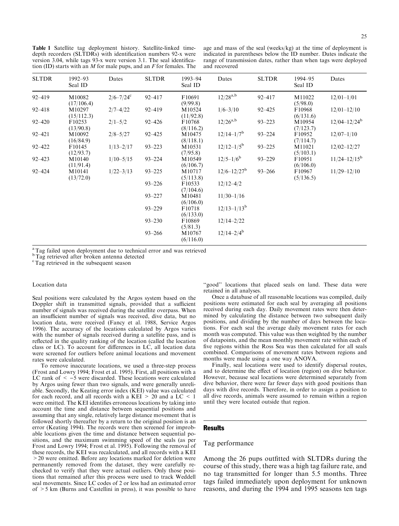Table 1 Satellite tag deployment history. Satellite-linked timedepth recorders (SLTDRs) with identification numbers 92-x were version 3.04, while tags 93-x were version 3.1. The seal identification (ID) starts with an  $M$  for male pups, and an  $F$  for females. The

age and mass of the seal (weeks/kg) at the time of deployment is indicated in parentheses below the ID number. Dates indicate the range of transmission dates, rather than when tags were deployed and recovered

| <b>SLTDR</b> | $1992 - 93$<br>Seal ID | Dates          | <b>SLTDR</b> | 1993-94<br>Seal ID  | Dates                       | <b>SLTDR</b> | 1994-95<br>Seal ID  | Dates             |
|--------------|------------------------|----------------|--------------|---------------------|-----------------------------|--------------|---------------------|-------------------|
| $92 - 419$   | M10082<br>(17/106.4)   | $2/6 - 7/24$ ° | 92-417       | F10691<br>(9/99.8)  | $12/28^{a,b}$               | $92 - 417$   | M11022<br>(5/98.0)  | $12/01 - 1/01$    |
| $92 - 418$   | M10297<br>(15/112.3)   | $2/7 - 4/22$   | $92 - 419$   | M10524<br>(11/92.8) | $1/6 - 3/10$                | $92 - 425$   | F10968<br>(6/131.6) | $12/01 - 12/10$   |
| $92 - 420$   | F10253<br>(13/90.8)    | $2/1 - 5/2$    | $92 - 426$   | F10768<br>(8/116.2) | $12/26^{a,b}$               | $93 - 223$   | M10954<br>(7/123.7) | $12/04 - 12/24^b$ |
| $92 - 421$   | M10092<br>(16/84.9)    | $2/8 - 5/27$   | $92 - 425$   | M10475<br>(8/118.1) | $12/14-1/7^b$               | $93 - 224$   | F10952<br>(7/114.7) | $12/07 - 1/10$    |
| $92 - 422$   | F10145<br>(12/93.7)    | $1/13 - 2/17$  | $93 - 223$   | M10531<br>(7/95.8)  | $12/12-1/5^b$               | $93 - 225$   | M11021<br>(5/103.1) | $12/02 - 12/27$   |
| $92 - 423$   | M10140<br>(11/91.4)    | $1/10 - 5/15$  | $93 - 224$   | M10549<br>(6/106.7) | $12/5 - 1/6^b$              | $93 - 229$   | F10951<br>(6/106.0) | $11/24 - 12/15^b$ |
| $92 - 424$   | M10141<br>(13/72.0)    | $1/22 - 3/13$  | $93 - 225$   | M10717<br>(5/113.8) | $12/6 - 12/27$ <sup>b</sup> | $93 - 266$   | F10967<br>(5/136.5) | $11/29 - 12/10$   |
|              |                        |                | $93 - 226$   | F10533<br>(7/104.6) | $12/12 - 4/2$               |              |                     |                   |
|              |                        |                | $93 - 227$   | M10481<br>(6/106.0) | $11/30 - 1/16$              |              |                     |                   |
|              |                        |                | $93 - 229$   | F10718<br>(6/133.0) | $12/13-1/13^{b}$            |              |                     |                   |
|              |                        |                | $93 - 230$   | F10869<br>(5/81.3)  | $12/14 - 2/22$              |              |                     |                   |
|              |                        |                | $93 - 266$   | M10767<br>(6/116.0) | $12/14 - 2/4^b$             |              |                     |                   |

<sup>a</sup>Tag failed upon deployment due to technical error and was retrieved

<sup>b</sup>Tag retrieved after broken antenna detected

<sup>c</sup> Tag retrieved in the subsequent season

#### Location data

Seal positions were calculated by the Argos system based on the Doppler shift in transmitted signals, provided that a sufficient number of signals was received during the satellite overpass. When an insufficient number of signals was received, dive data, but no location data, were received (Fancy et al. 1988, Service Argos 1996). The accuracy of the locations calculated by Argos varies with the number of signals received during a satellite pass, and is reflected in the quality ranking of the location (called the location class or LC). To account for differences in LC, all location data were screened for outliers before animal locations and movement rates were calculated.

To remove inaccurate locations, we used a three-step process (Frost and Lowry 1994; Frost et al. 1995). First, all positions with a LC rank of  $\le -5$  were discarded. These locations were calculated by Argos using fewer than two signals, and were generally unreliable. Secondly, the Keating error index (KEI) value was calculated for each record, and all records with a  $KEI > 20$  and a  $LC < 1$ were omitted. The KEI identifies erroneous locations by taking into account the time and distance between sequential positions and assuming that any single, relatively large distance movement that is followed shortly thereafter by a return to the original position is an error (Keating 1994). The records were then screened for improbable locations given the time and distance between sequential positions, and the maximum swimming speed of the seals (as per Frost and Lowry 1994; Frost et al. 1995). Following the removal of these records, the KEI was recalculated, and all records with a KEI >20 were omitted. Before any locations marked for deletion were permanently removed from the dataset, they were carefully rechecked to verify that they were actual outliers. Only those positions that remained after this process were used to track Weddell seal movements. Since LC codes of 2 or less had an estimated error of  $>5$  km (Burns and Castellini in press), it was possible to have

"good" locations that placed seals on land. These data were retained in all analyses.

Once a database of all reasonable locations was compiled, daily positions were estimated for each seal by averaging all positions received during each day. Daily movement rates were then determined by calculating the distance between two subsequent daily positions, and dividing by the number of days between the locations. For each seal the average daily movement rates for each month was computed. This value was then weighted by the number of datapoints, and the mean monthly movement rate within each of five regions within the Ross Sea was then calculated for all seals combined. Comparisons of movement rates between regions and months were made using a one way ANOVA.

Finally, seal locations were used to identify dispersal routes, and to determine the effect of location (region) on dive behavior. However, because seal locations were determined separately from dive behavior, there were far fewer days with good positions than days with dive records. Therefore, in order to assign a position to all dive records, animals were assumed to remain within a region until they were located outside that region.

## **Results**

## Tag performance

Among the 26 pups outfitted with SLTDRs during the course of this study, there was a high tag failure rate, and no tag transmitted for longer than 5.5 months. Three tags failed immediately upon deployment for unknown reasons, and during the 1994 and 1995 seasons ten tags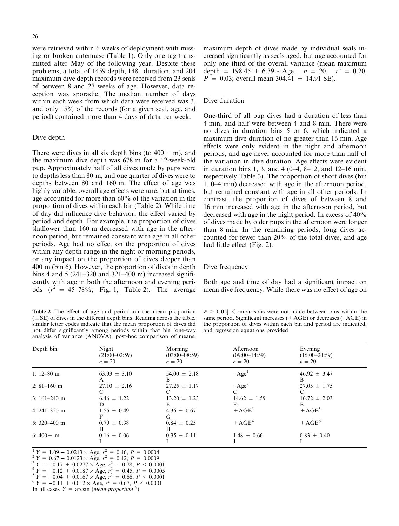were retrieved within 6 weeks of deployment with missing or broken antennase (Table 1). Only one tag transmitted after May of the following year. Despite these problems, a total of 1459 depth, 1481 duration, and 204 maximum dive depth records were received from 23 seals of between 8 and 27 weeks of age. However, data reception was sporadic. The median number of days within each week from which data were received was 3, and only 15% of the records (for a given seal, age, and period) contained more than 4 days of data per week.

## Dive depth

There were dives in all six depth bins (to  $400 + m$ ), and the maximum dive depth was 678 m for a 12-week-old pup. Approximately half of all dives made by pups were to depths less than 80 m, and one quarter of dives were to depths between  $80$  and  $160$  m. The effect of age was highly variable: overall age effects were rare, but at times, age accounted for more than 60% of the variation in the proportion of dives within each bin (Table 2). While time of day did influence dive behavior, the effect varied by period and depth. For example, the proportion of dives shallower than 160 m decreased with age in the afternoon period, but remained constant with age in all other periods. Age had no effect on the proportion of dives within any depth range in the night or morning periods, or any impact on the proportion of dives deeper than 400 m (bin 6). However, the proportion of dives in depth bins 4 and 5 (241 $-320$  and 321 $-400$  m) increased significantly with age in both the afternoon and evening periods  $(r^2 = 45-78\%;$  Fig. 1, Table 2). The average

Table 2 The effect of age and period on the mean proportion  $(± SE)$  of dives in the different depth bins. Reading across the table, similar letter codes indicate that the mean proportion of dives did not differ significantly among periods within that bin [one-way analysis of variance (ANOVA), post-hoc comparison of means,

maximum depth of dives made by individual seals increased significantly as seals aged, but age accounted for only one third of the overall variance (mean maximum depth = 198.45 + 6.39  $\star$  Age,  $n = 20$ ,  $r^2 = 0.20$ ,  $P = 0.03$ ; overall mean 304.41  $\pm$  14.91 SE).

## Dive duration

One-third of all pup dives had a duration of less than 4 min, and half were between 4 and 8 min. There were no dives in duration bins 5 or 6, which indicated a maximum dive duration of no greater than 16 min. Age effects were only evident in the night and afternoon periods, and age never accounted for more than half of the variation in dive duration. Age effects were evident in duration bins 1, 3, and 4  $(0-4, 8-12, 0.2)$  and 12-16 min, respectively Table 3). The proportion of short dives (bin 1, 0–4 min) decreased with age in the afternoon period, but remained constant with age in all other periods. In contrast, the proportion of dives of between 8 and 16 min increased with age in the afternoon period, but decreased with age in the night period. In excess of 40% of dives made by older pups in the afternoon were longer than 8 min. In the remaining periods, long dives accounted for fewer than 20% of the total dives, and age had little effect (Fig. 2).

#### Dive frequency

Both age and time of day had a significant impact on mean dive frequency. While there was no effect of age on

| $P > 0.05$ . Comparisons were not made between bins within the       |
|----------------------------------------------------------------------|
| same period. Significant increases $(+AGE)$ or decreases $(-AGE)$ in |
| the proportion of dives within each bin and period are indicated.    |
| and regression equations provided                                    |

| Depth bin        | Night<br>$(21:00-02:59)$<br>$n=20$ | Morning<br>$(03:00-08:59)$<br>$n=20$ | Afternoon<br>$(09:00-14:59)$<br>$n=20$ | Evening<br>$(15:00-20:59)$<br>$n=20$ |  |
|------------------|------------------------------------|--------------------------------------|----------------------------------------|--------------------------------------|--|
| 1: $12 - 80$ m   | $63.93 \pm 3.10$<br>A              | $54.00 \pm 2.18$<br>В                | $-Age1$                                | $46.92 \pm 3.47$<br>В                |  |
| $2: 81 - 160$ m  | $27.10 \pm 2.16$                   | $27.25 \pm 1.17$                     | $-Age2$<br>$\mathbf{C}$                | $27.05 \pm 1.75$                     |  |
| $3:161-240$ m    | $6.46 \pm 1.22$<br>D               | $13.20 \pm 1.23$<br>E                | $14.62 \pm 1.59$<br>E.                 | $16.72 \pm 2.03$<br>E                |  |
| 4: $241 - 320$ m | $1.55 \pm 0.49$                    | $4.36 \pm 0.67$<br>G                 | $+ AGE^3$                              | $+ AGE^5$                            |  |
| 5: $320 - 400$ m | $0.79 \pm 0.38$<br>H               | $0.84 \pm 0.25$<br>H                 | $+ AGE4$                               | $+ AGE^6$                            |  |
| 6: $400 + m$     | $0.16 \pm 0.06$                    | $0.35 \pm 0.11$                      | $1.48 \pm 0.66$                        | $0.83 \pm 0.40$                      |  |

 $1 \, Y = 1.09 - 0.0213 \times \text{Age}, r^2 = 0.46, P = 0.0004$ <br>  $2 \, Y = 0.67 - 0.0123 \times \text{Age}, r^2 = 0.42, P = 0.0009$ 

 $^{2} Y = 0.67 - 0.0123 \times \text{Age}, r^{2} = 0.42, P = 0.0009$ <br>  $^{3} Y = -0.17 + 0.0277 \times \text{Age}, r^{2} = 0.78, P < 0.00$ 

 $^{3} Y = -0.17 + 0.0277 \times \text{Age}, r^{2} = 0.78, P < 0.0001$ <br>  $^{4} Y = -0.12 + 0.0187 \times \text{Age}, r^{2} = 0.45, P = 0.0005$ 

 $^{4}Y = -0.12 + 0.0187 \times \text{Age}, r^{2} = 0.45, P = 0.0005$ <br>  $^{5}Y = -0.04 + 0.0167 \times \text{Age}, r^{2} = 0.66, P < 0.0001$ 

 ${}^{5}Y = -0.04 + 0.0167 \times \text{Age}, r^{2} = 0.66, P < 0.0001$ <br>  ${}^{6}Y = -0.11 + 0.012 \times \text{Age}, r^{2} = 0.67, P < 0.0001$ 

In all cases  $Y = \arcsin$  (*mean proportion*<sup> $\frac{1}{2}$ </sup>)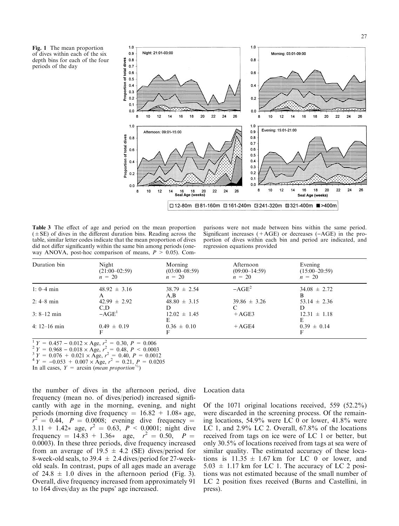Fig. 1 The mean proportion of dives within each of the six depth bins for each of the four periods of the day



Table 3 The effect of age and period on the mean proportion  $(\pm SE)$  of dives in the different duration bins. Reading across the table, similar letter codes indicate that the mean proportion of dives did not differ significantly within the same bin among periods (oneway ANOVA, post-hoc comparison of means,  $P > 0.05$ ). Com-

parisons were not made between bins within the same period. Significant increases  $(+AGE)$  or decreases  $(-AGE)$  in the proportion of dives within each bin and period are indicated, and regression equations provided

| Duration bin   | Night<br>$(21:00-02:59)$<br>$n = 20$ | Morning<br>$(03:00-08:59)$<br>$n = 20$ | Afternoon<br>$(09:00-14:59)$<br>$n = 20$ | Evening<br>$(15:00-20:59)$<br>$n = 20$ |
|----------------|--------------------------------------|----------------------------------------|------------------------------------------|----------------------------------------|
| $1: 0-4$ min   | $48.92 \pm 3.16$<br>A                | $38.79 \pm 2.54$<br>A, B               | $-AGE^2$                                 | $34.08 \pm 2.72$<br>В                  |
| $2:4-8$ min    | $42.99 \pm 2.92$<br>C,D              | $48.80 \pm 3.15$                       | $39.86 \pm 3.26$                         | $53.14 \pm 2.36$                       |
| $3: 8-12$ min  | $-AGE1$                              | $12.02 \pm 1.45$<br>E                  | $+AGE3$                                  | $12.31 \pm 1.18$                       |
| 4: $12-16$ min | $0.49 \pm 0.19$                      | $0.36 \pm 0.10$                        | $+AGE4$                                  | $0.39 \pm 0.14$                        |

 $1 Y = 0.457 - 0.012 \times \text{Age}, r^2 = 0.30, P = 0.006$ <br>  $2 Y = 0.968 - 0.018 \times \text{Age}, r^2 = 0.48, P < 0.000$ 

 $2^2 Y = 0.968 - 0.018 \times \text{Age}, r^2 = 0.48, P < 0.0003$ <br> $3^3 Y = 0.076 + 0.021 \times \text{Age}, r^2 = 0.40, P = 0.0012$ 

<sup>3</sup> Y = 0.076 + 0.021 × Age,  $r^2$  = 0.40, P = 0.0012<br><sup>4</sup> Y = -0.053 + 0.007 × Age,  $r^2$  = 0.21, P = 0.0205

In all cases,  $Y = \arcsin$  (*mean proportion*<sup> $\frac{1}{2}$ </sup>)

the number of dives in the afternoon period, dive frequency (mean no. of dives/period) increased significantly with age in the morning, evening, and night periods (morning dive frequency  $= 16.82 + 1.08*$  age,  $r^2 = 0.44$ ,  $P = 0.0008$ ; evening dive frequency = 3.11 + 1.42\* age,  $r^2 = 0.63$ ,  $P < 0.0001$ ; night dive frequency =  $14.83 + 1.36*$  age,  $r^2 = 0.50$ ,  $P =$ 0.0003). In these three periods, dive frequency increased from an average of 19.5  $\pm$  4.2 (SE) dives/period for 8-week-old seals, to 39.4  $\pm$  2.4 dives/period for 27-weekold seals. In contrast, pups of all ages made an average of 24.8  $\pm$  1.0 dives in the afternoon period (Fig. 3). Overall, dive frequency increased from approximately 91 to 164 dives/day as the pups' age increased.

## Location data

Of the 1071 original locations received, 559 (52.2%) were discarded in the screening process. Of the remaining locations, 54.9% were LC 0 or lower, 41.8% were LC 1, and 2.9% LC 2. Overall, 67.8% of the locations received from tags on ice were of LC 1 or better, but only 30.5% of locations received from tags at sea were of similar quality. The estimated accuracy of these locations is  $11.35 \pm 1.67$  km for LC 0 or lower, and  $5.03 \pm 1.17$  km for LC 1. The accuracy of LC 2 positions was not estimated because of the small number of LC 2 position fixes received (Burns and Castellini, in press).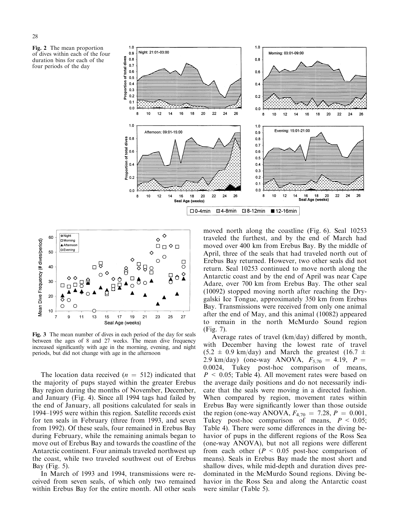





Fig. 3 The mean number of dives in each period of the day for seals between the ages of 8 and 27 weeks. The mean dive frequency increased significantly with age in the morning, evening, and night periods, but did not change with age in the afternoon

The location data received  $(n = 512)$  indicated that the majority of pups stayed within the greater Erebus Bay region during the months of November, December, and January (Fig. 4). Since all 1994 tags had failed by the end of January, all positions calculated for seals in 1994–1995 were within this region. Satellite records exist for ten seals in February (three from 1993, and seven from 1992). Of these seals, four remained in Erebus Bay during February, while the remaining animals began to move out of Erebus Bay and towards the coastline of the Antarctic continent. Four animals traveled northwest up the coast, while two traveled southwest out of Erebus Bay (Fig. 5).

In March of 1993 and 1994, transmissions were received from seven seals, of which only two remained within Erebus Bay for the entire month. All other seals

moved north along the coastline (Fig. 6). Seal 10253 traveled the furthest, and by the end of March had moved over 400 km from Erebus Bay. By the middle of April, three of the seals that had traveled north out of Erebus Bay returned. However, two other seals did not return. Seal 10253 continued to move north along the Antarctic coast and by the end of April was near Cape Adare, over 700 km from Erebus Bay. The other seal (10092) stopped moving north after reaching the Drygalski Ice Tongue, approximately 350 km from Erebus Bay. Transmissions were received from only one animal after the end of May, and this animal (10082) appeared to remain in the north McMurdo Sound region (Fig. 7).

Average rates of travel  $(km/day)$  differed by month, with December having the lowest rate of travel  $(5.2 \pm 0.9 \text{ km/day})$  and March the greatest  $(16.7 \pm 1.0 \text{ km/s})$ 2.9 km/day) (one-way ANOVA,  $F_{5,70} = 4.19$ ,  $P =$ 0.0024, Tukey post-hoc comparison of means,  $P \le 0.05$ ; Table 4). All movement rates were based on the average daily positions and do not necessarily indicate that the seals were moving in a directed fashion. When compared by region, movement rates within Erebus Bay were significantly lower than those outside the region (one-way ANOVA,  $F_{4,70} = 7.28$ ,  $P = 0.001$ , Tukey post-hoc comparison of means,  $P < 0.05$ ; Table 4). There were some differences in the diving behavior of pups in the different regions of the Ross Sea (one-way ANOVA), but not all regions were different from each other ( $P < 0.05$  post-hoc comparison of means). Seals in Erebus Bay made the most short and shallow dives, while mid-depth and duration dives predominated in the McMurdo Sound regions. Diving behavior in the Ross Sea and along the Antarctic coast were similar (Table 5).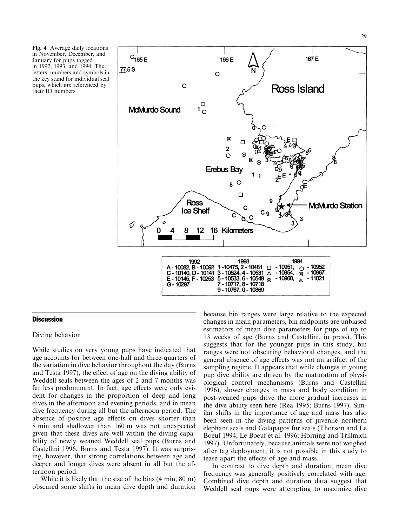Fig. 4 Average daily locations in November, December, and January for pups tagged in 1992, 1993, and 1994. The letters, numbers and symbols in the key stand for individual seal pups, which are referenced by their ID numbers



## **Discussion**

## Diving behavior

While studies on very young pups have indicated that age accounts for between one-half and three-quarters of the variation in dive behavior throughout the day (Burns and Testa 1997), the effect of age on the diving ability of Weddell seals between the ages of 2 and 7 months was far less predominant. In fact, age effects were only evident for changes in the proportion of deep and long dives in the afternoon and evening periods, and in mean dive frequency during all but the afternoon period. The absence of positive age effects on dives shorter than 8 min and shallower than 160 m was not unexpected given that these dives are well within the diving capability of newly weaned Weddell seal pups (Burns and Castellini 1996, Burns and Testa 1997). It was surprising, however, that strong correlations between age and deeper and longer dives were absent in all but the afternoon period.

While it is likely that the size of the bins (4 min, 80 m) obscured some shifts in mean dive depth and duration

because bin ranges were large relative to the expected changes in mean parameters, bin midpoints are unbiased estimators of mean dive parameters for pups of up to 13 weeks of age (Burns and Castellini, in press). This suggests that for the younger pups in this study, bin ranges were not obscuring behavioral changes, and the general absence of age effects was not an artifact of the sampling regime. It appears that while changes in young pup dive ability are driven by the maturation of physiological control mechanisms (Burns and Castellini 1996), slower changes in mass and body condition in post-weaned pups drive the more gradual increases in the dive ability seen here (Rea 1995; Burns 1997). Similar shifts in the importance of age and mass has also been seen in the diving patterns of juvenile northern elephant seals and Galapagos fur seals (Thorson and Le Boeuf 1994; Le Boeuf et al. 1996; Horning and Trillmich 1997). Unfortunately, because animals were not weighed after tag deployment, it is not possible in this study to tease apart the effects of age and mass.

In contrast to dive depth and duration, mean dive frequency was generally positively correlated with age. Combined dive depth and duration data suggest that Weddell seal pups were attempting to maximize dive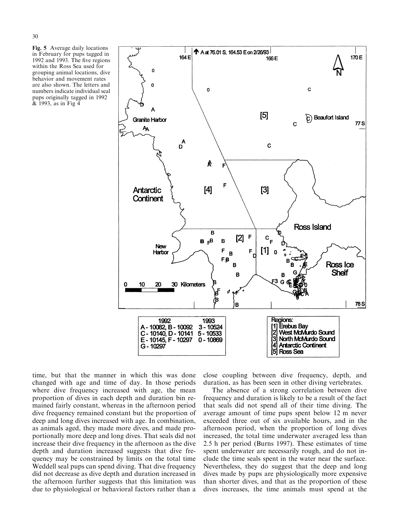Fig. 5 Average daily locations in February for pups tagged in 1992 and 1993. The five regions within the Ross Sea used for grouping animal locations, dive behavior and movement rates are also shown. The letters and numbers indicate individual seal pups originally tagged in 1992 & 1993, as in Fig 4



time, but that the manner in which this was done changed with age and time of day. In those periods where dive frequency increased with age, the mean proportion of dives in each depth and duration bin remained fairly constant, whereas in the afternoon period dive frequency remained constant but the proportion of deep and long dives increased with age. In combination, as animals aged, they made more dives, and made proportionally more deep and long dives. That seals did not increase their dive frequency in the afternoon as the dive depth and duration increased suggests that dive frequency may be constrained by limits on the total time Weddell seal pups can spend diving. That dive frequency did not decrease as dive depth and duration increased in the afternoon further suggests that this limitation was due to physiological or behavioral factors rather than a

close coupling between dive frequency, depth, and duration, as has been seen in other diving vertebrates.

The absence of a strong correlation between dive frequency and duration is likely to be a result of the fact that seals did not spend all of their time diving. The average amount of time pups spent below 12 m never exceeded three out of six available hours, and in the afternoon period, when the proportion of long dives increased, the total time underwater averaged less than 2.5 h per period (Burns 1997). These estimates of time spent underwater are necessarily rough, and do not include the time seals spent in the water near the surface. Nevertheless, they do suggest that the deep and long dives made by pups are physiologically more expensive than shorter dives, and that as the proportion of these dives increases, the time animals must spend at the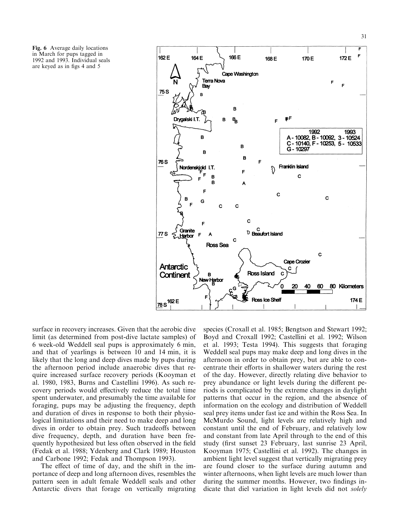Fig. 6 Average daily locations in March for pups tagged in 1992 and 1993. Individual seals are keyed as in figs 4 and 5



surface in recovery increases. Given that the aerobic dive limit (as determined from post-dive lactate samples) of 6 week-old Weddell seal pups is approximately 6 min, and that of yearlings is between 10 and 14 min, it is likely that the long and deep dives made by pups during the afternoon period include anaerobic dives that require increased surface recovery periods (Kooyman et al. 1980, 1983, Burns and Castellini 1996). As such recovery periods would effectively reduce the total time spent underwater, and presumably the time available for foraging, pups may be adjusting the frequency, depth and duration of dives in response to both their physiological limitations and their need to make deep and long dives in order to obtain prey. Such tradeoffs between dive frequency, depth, and duration have been frequently hypothesized but less often observed in the field (Fedak et al. 1988; Ydenberg and Clark 1989; Houston and Carbone 1992; Fedak and Thompson 1993).

The effect of time of day, and the shift in the importance of deep and long afternoon dives, resembles the pattern seen in adult female Weddell seals and other Antarctic divers that forage on vertically migrating

species (Croxall et al. 1985; Bengtson and Stewart 1992; Boyd and Croxall 1992; Castellini et al. 1992; Wilson et al. 1993; Testa 1994). This suggests that foraging Weddell seal pups may make deep and long dives in the afternoon in order to obtain prey, but are able to concentrate their efforts in shallower waters during the rest of the day. However, directly relating dive behavior to prey abundance or light levels during the different periods is complicated by the extreme changes in daylight patterns that occur in the region, and the absence of information on the ecology and distribution of Weddell seal prey items under fast ice and within the Ross Sea. In McMurdo Sound, light levels are relatively high and constant until the end of February, and relatively low and constant from late April through to the end of this study (first sunset 23 February, last sunrise 23 April, Kooyman 1975; Castellini et al. 1992). The changes in ambient light level suggest that vertically migrating prey are found closer to the surface during autumn and winter afternoons, when light levels are much lower than during the summer months. However, two findings indicate that diel variation in light levels did not solely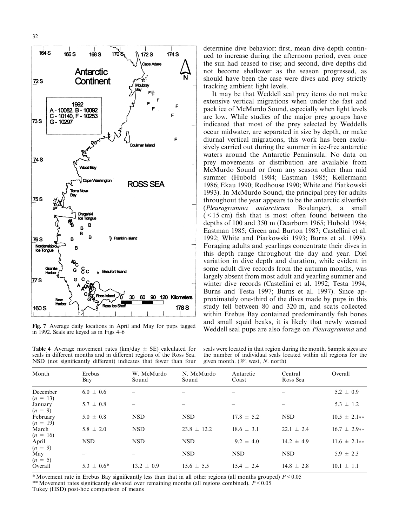![](_page_9_Figure_1.jpeg)

in 1992. Seals are keyed as in Figs 4-6

**Table 4** Average movement rates (km/day  $\pm$  SE) calculated for seals in different months and in different regions of the Ross Sea. NSD (not significantly different) indicates that fewer than four

determine dive behavior: first, mean dive depth continued to increase during the afternoon period, even once the sun had ceased to rise; and second, dive depths did not become shallower as the season progressed, as should have been the case were dives and prey strictly tracking ambient light levels.

It may be that Weddell seal prey items do not make extensive vertical migrations when under the fast and pack ice of McMurdo Sound, especially when light levels are low. While studies of the major prey groups have indicated that most of the prey selected by Weddells occur midwater, are separated in size by depth, or make diurnal vertical migrations, this work has been exclusively carried out during the summer in ice-free antarctic waters around the Antarctic Penninsula. No data on prey movements or distribution are available from McMurdo Sound or from any season other than mid summer (Hubold 1984; Eastman 1985; Kellermann 1986; Ekau 1990; Rodhouse 1990; White and Piatkowski 1993). In McMurdo Sound, the principal prey for adults throughout the year appears to be the antarctic silver fish (Pleuragramma antarcticum Boulanger), a small  $(< 15$  cm) fish that is most often found between the depths of 100 and 350 m (Dearborn 1965; Hubold 1984; Eastman 1985; Green and Burton 1987; Castellini et al. 1992; White and Piatkowski 1993; Burns et al. 1998). Foraging adults and yearlings concentrate their dives in this depth range throughout the day and year. Diel variation in dive depth and duration, while evident in some adult dive records from the autumn months, was largely absent from most adult and yearling summer and winter dive records (Castellini et al. 1992; Testa 1994; Burns and Testa 1997; Burns et al. 1997). Since approximately one-third of the dives made by pups in this study fell between 80 and 320 m, and scats collected within Erebus Bay contained predominantly fish bones and small squid beaks, it is likely that newly weaned Fig. 7 Average daily locations in April and May for pups tagged<br>Weddell seal pups are also forage on *Pleuragramma* and<br>Henry Scale are known as in Fig. 4.6

seals were located in that region during the month. Sample sizes are the number of individual seals located within all regions for the given month. (W. west, N. north)

| Month                  | Erebus<br>Bay   | W. McMurdo<br>Sound | N. McMurdo<br>Sound | Antarctic<br>Coast | Central<br>Ross Sea | Overall          |
|------------------------|-----------------|---------------------|---------------------|--------------------|---------------------|------------------|
| December<br>$(n = 13)$ | $6.0 \pm 0.6$   |                     |                     |                    |                     | $5.2 \pm 0.9$    |
| January<br>$(n = 9)$   | $5.7 \pm 0.8$   |                     |                     |                    |                     | $5.3 \pm 1.2$    |
| February<br>$(n = 19)$ | $5.0 \pm 0.8$   | <b>NSD</b>          | <b>NSD</b>          | $17.8 \pm 5.2$     | <b>NSD</b>          | $10.5 \pm 2.1**$ |
| March<br>$(n = 16)$    | $5.8 \pm 2.0$   | <b>NSD</b>          | $23.8 \pm 12.2$     | $18.6 \pm 3.1$     | $22.1 \pm 2.4$      | $16.7 \pm 2.9**$ |
| April<br>$(n = 9)$     | <b>NSD</b>      | <b>NSD</b>          | <b>NSD</b>          | $9.2 \pm 4.0$      | $14.2 \pm 4.9$      | $11.6 \pm 2.1**$ |
| May<br>$(n = 5)$       |                 |                     | <b>NSD</b>          | <b>NSD</b>         | <b>NSD</b>          | $5.9 \pm 2.3$    |
| Overall                | $5.3 \pm 0.6^*$ | $13.2 \pm 0.9$      | $15.6 \pm 5.5$      | $15.4 \pm 2.4$     | $14.8 \pm 2.8$      | $10.1 \pm 1.1$   |

\* Movement rate in Erebus Bay significantly less than that in all other regions (all months grouped)  $P < 0.05$ 

\*\* Movement rates significantly elevated over remaining months (all regions combined),  $P < 0.05$ 

Tukey (HSD) post-hoc comparison of means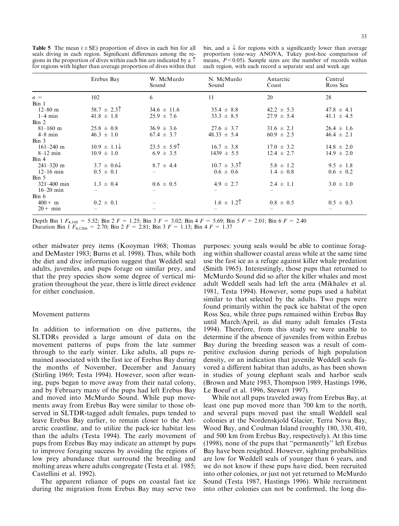**Table 5** The mean  $(\pm SE)$  proportion of dives in each bin for all seals diving in each region. Significant differences among the regions in the proportion of dives within each bin are indicated by a  $\uparrow$ for regions with higher than average proportion of dives within that

bin, and a  $\downarrow$  for regions with a significantly lower than average proportion (one-way ANOVA, Tukey post-hoc comparison of means,  $P < 0.05$ ). Sample sizes are the number of records within each region, with each record a separate seal and week age

|                        | Erebus Bay              | W. McMurdo<br>Sound | N. McMurdo<br>Sound                            | Antarctic<br>Coast | Central<br>Ross Sea |
|------------------------|-------------------------|---------------------|------------------------------------------------|--------------------|---------------------|
| $n =$                  | 102                     | 6                   | 11                                             | 20                 | 28                  |
| Bin <sub>1</sub>       |                         |                     |                                                |                    |                     |
| $12 - 80$ m            | $58.7 \pm 2.3$          | $34.6 \pm 11.6$     | $35.4 \pm 8.8$                                 | $42.2 \pm 5.3$     | $47.8 \pm 4.1$      |
| $1-4$ min              | $41.8 \pm 1.8$          | $25.9 \pm 7.6$      | $33.3 \pm 8.5$                                 | $27.9 \pm 5.4$     | $41.1 \pm 4.5$      |
| $\operatorname{Bin} 2$ |                         |                     |                                                |                    |                     |
| $81 - 160$ m           | $25.8 \pm 0.8$          | $36.9 \pm 3.6$      | $27.6 \pm 3.7$                                 | $31.6 \pm 2.1$     | $26.4 \pm 1.6$      |
| $4-8$ min              | $46.3 \pm 1.0$          | $67.4 \pm 3.7$      | $48.33 \pm 5.4$                                | $60.9 \pm 2.5$     | $46.4 \pm 2.1$      |
| $\operatorname{Bin} 3$ |                         |                     |                                                |                    |                     |
| $161 - 240$ m          | $10.9 \pm 1.1 \sqrt{ }$ | $23.5 \pm 5.9$      | $16.7 \pm 3.8$                                 | $17.0 \pm 3.2$     | $14.8 \pm 2.0$      |
| $8-12$ min             | $10.9 \pm 1.0$          | $6.9 \pm 3.5$       | $1439 \pm 5.5$                                 | $12.4 \pm 2.7$     | $14.9 \pm 2.0$      |
| $\operatorname{Bin} 4$ |                         |                     |                                                |                    |                     |
| $241 - 320$ m          | $3.7 \pm 0.6 \sqrt{ }$  | $8.7 \pm 4.4$       | $10.7 \pm 3.3$                                 | $5.8 \pm 1.2$      | $9.5 \pm 1.8$       |
| $12-16$ min            | $0.5 \pm 0.1$           |                     | $0.6 \pm 0.6$                                  | $1.4 \pm 0.8$      | $0.6 \pm 0.2$       |
| $\operatorname{Bin} 5$ |                         |                     |                                                |                    |                     |
| $321 - 400$ min        | $1.3 \pm 0.4$           | $0.6 \pm 0.5$       | $4.9 \pm 2.7$                                  | $2.4 \pm 1.1$      | $3.0 \pm 1.0$       |
| $16 - 20$ min          |                         |                     |                                                |                    |                     |
| Bin 6                  |                         |                     |                                                |                    |                     |
| $400 + m$              | $0.2 \pm 0.1$           |                     | $1.6 \pm 1.2$ <sup><math>\uparrow</math></sup> | $0.8 \pm 0.5$      | $0.5 \pm 0.3$       |
| $20+$ min              |                         |                     |                                                |                    |                     |

Depth Bin 1  $F_{4,168} = 5.52$ ; Bin 2  $F = 1.25$ ; Bin 3  $F = 3.02$ ; Bin 4  $F = 5.69$ ; Bin 5  $F = 2.01$ ; Bin 6  $F = 2.40$ 

Duration Bin 1  $F_{4,1266} = 2.70$ ; Bin 2  $F = 2.81$ ; Bin 3  $F = 1.13$ ; Bin 4  $F = 1.37$ 

other midwater prey items (Kooyman 1968; Thomas and DeMaster 1983; Burns et al. 1998). Thus, while both the diet and dive information suggest that Weddell seal adults, juveniles, and pups forage on similar prey, and that the prey species show some degree of vertical migration throughout the year, there is little direct evidence for either conclusion.

# Movement patterns

In addition to information on dive patterns, the SLTDRs provided a large amount of data on the movement patterns of pups from the late summer through to the early winter. Like adults, all pups remained associated with the fast ice of Erebus Bay during the months of November, December and January (Stirling 1969; Testa 1994). However, soon after weaning, pups began to move away from their natal colony, and by February many of the pups had left Erebus Bay and moved into McMurdo Sound. While pup movements away from Erebus Bay were similar to those observed in SLTDR-tagged adult females, pups tended to leave Erebus Bay earlier, to remain closer to the Antarctic coastline, and to utilize the pack-ice habitat less than the adults (Testa 1994). The early movement of pups from Erebus Bay may indicate an attempt by pups to improve foraging success by avoiding the regions of low prey abundance that surround the breeding and molting areas where adults congregate (Testa et al. 1985; Castellini et al. 1992).

The apparent reliance of pups on coastal fast ice during the migration from Erebus Bay may serve two

purposes: young seals would be able to continue foraging within shallower coastal areas while at the same time use the fast ice as a refuge against killer whale predation (Smith 1965). Interestingly, those pups that returned to McMurdo Sound did so after the killer whales and most adult Weddell seals had left the area (Mikhalev et al. 1981, Testa 1994). However, some pups used a habitat similar to that selected by the adults. Two pups were found primarily within the pack ice habitat of the open Ross Sea, while three pups remained within Erebus Bay until March/April, as did many adult females (Testa 1994). Therefore, from this study we were unable to determine if the absence of juveniles from within Erebus Bay during the breeding season was a result of competitive exclusion during periods of high population density, or an indication that juvenile Weddell seals favored a different habitat than adults, as has been shown in studies of young elephant seals and harbor seals (Brown and Mate 1983, Thompson 1989, Hastings 1996, Le Boeuf et al. 1996, Stewart 1997).

While not all pups traveled away from Erebus Bay, at least one pup moved more than 700 km to the north, and several pups moved past the small Weddell seal colonies at the Nordenskjold Glacier, Terra Nova Bay, Wood Bay, and Coulman Island (roughly 180, 330, 410, and 500 km from Erebus Bay, respectively). At this time (1998), none of the pups that ``permanently'' left Erebus Bay have been resighted. However, sighting probabilities are low for Weddell seals of younger than 6 years, and we do not know if these pups have died, been recruited into other colonies, or just not yet returned to McMurdo Sound (Testa 1987, Hastings 1996). While recruitment into other colonies can not be confirmed, the long dis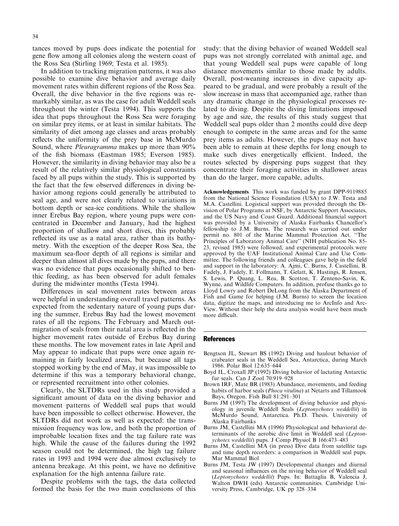tances moved by pups does indicate the potential for gene flow among all colonies along the western coast of the Ross Sea (Stirling 1969; Testa et al. 1985).

In addition to tracking migration patterns, it was also possible to examine dive behavior and average daily movement rates within different regions of the Ross Sea. Overall, the dive behavior in the five regions was remarkably similar, as was the case for adult Weddell seals throughout the winter (Testa 1994). This supports the idea that pups throughout the Ross Sea were foraging on similar prey items, or at least in similar habitats. The similarity of diet among age classes and areas probably reflects the uniformity of the prey base in McMurdo Sound, where Pleuragramma makes up more than 90% of the fish biomass (Eastman 1985; Everson 1985). However, the similarity in diving behavior may also be a result of the relatively similar physiological constraints faced by all pups within the study. This is supported by the fact that the few observed differences in diving behavior among regions could generally be attributed to seal age, and were not clearly related to variations in bottom depth or sea-ice conditions. While the shallow inner Erebus Bay region, where young pups were concentrated in December and January, had the highest proportion of shallow and short dives, this probably reflected its use as a natal area, rather than its bathymetry. With the exception of the deeper Ross Sea, the maximum sea-floor depth of all regions is similar and deeper than almost all dives made by the pups, and there was no evidence that pups occasionally shifted to benthic feeding, as has been observed for adult females during the midwinter months (Testa 1994).

Differences in seal movement rates between areas were helpful in understanding overall travel patterns. As expected from the sedentary nature of young pups during the summer, Erebus Bay had the lowest movement rates of all the regions. The February and March outmigration of seals from their natal area is reflected in the higher movement rates outside of Erebus Bay during these months. The low movement rates in late April and May appear to indicate that pups were once again remaining in fairly localized areas, but because all tags stopped working by the end of May, it was impossible to determine if this was a temporary behavioral change, or represented recruitment into other colonies.

Clearly, the SLTDRs used in this study provided a significant amount of data on the diving behavior and movement patterns of Weddell seal pups that would have been impossible to collect otherwise. However, the SLTDRs did not work as well as expected: the transmission frequency was low, and both the proportion of improbable location fixes and the tag failure rate was high. While the cause of the failures during the 1992 season could not be determined, the high tag failure rates in 1993 and 1994 were due almost exclusively to antenna breakage. At this point, we have no definitive explanation for the high antenna failure rate.

Despite problems with the tags, the data collected formed the basis for the two main conclusions of this study: that the diving behavior of weaned Weddell seal pups was not strongly correlated with animal age, and that young Weddell seal pups were capable of long distance movements similar to those made by adults. Overall, post-weaning increases in dive capacity appeared to be gradual, and were probably a result of the slow increase in mass that accompanied age, rather than any dramatic change in the physiological processes related to diving. Despite the diving limitations imposed by age and size, the results of this study suggest that Weddell seal pups older than 2 months could dive deep enough to compete in the same areas and for the same prey items as adults. However, the pups may not have been able to remain at these depths for long enough to make such dives energetically efficient. Indeed, the routes selected by dispersing pups suggest that they concentrate their foraging activities in shallower areas than do the larger, more capable, adults.

Acknowledgements This work was funded by grant DPP-9119885 from the National Science Foundation (USA) to J.W. Testa and M.A. Castellini. Logistical support was provided through the Division of Polar Programs at NSF, by Antarctic Support Associates, and the US Navy and Coast Guard. Additional financial support was provided by a University of Alaska Fairbanks Chancellor's fellowship to J.M. Burns. The research was carried out under permit no. 801 of the Marine Mammal Protection Act. "The Principles of Laboratory Animal Care'' (NIH publication No. 85- 23, revised 1985) were followed, and experimental protocols were approved by the UAF Institutional Animal Care and Use Committee. The following friends and colleagues gave help in the field and support in the laboratory: A. Ajmi, C. Burns, J. Castellini, B. Fadely, J. Fadely, E. Follmann, T. Gelatt, K. Hastings, R. Jensen, S. Lewis, P. Quang, L. Rea, B. Scotton, T. Zenteno-Savin, K. Wynne, and Wildlife Computers. In addition, profuse thanks go to Lloyd Lowry and Robert DeLong from the Alaska Department of Fish and Game for helping (J.M. Burns) to screen the location data, digitize the maps, and introducing me to ArcInfo and Arc-View. Without their help the data analysis would have been much more difficult.

#### References

- Bengtson JL, Stewart BS (1992) Diving and haulout behavior of crabeater seals in the Weddell Sea, Antarctica, during March 1986. Polar Biol 12:635–644
- Boyd IL, Croxall JP (1992) Diving behavior of lactating Antarctic fur seals. Can J Zool 70:919-928
- Brown IRF, Mate BR (1983) Abundance, movements, and feeding habits of harbor seals (Phoca vitulina) at Netarts and Tillamook Bays, Oregon. Fish Bull 81:291-301
- Burns JM (1997) The development of diving behavior and physiology in juvenile Weddell Seals (Leptonychotes weddellii) in McMurdo Sound, Antarctica. Ph.D. Thesis. University of Alaska Fairbanks
- Burns JM, Castellini MA (1996) Physiological and behavioral determinants of the aerobic dive limit in Weddell seal (Leptonychotes weddellii) pups. J Comp Physiol B 166:473-483
- Burns JM, Castellini MA (in press) Dive data from satellite tags and time depth recorders: a comparison in Weddell seal pups. Mar Mammal Biol
- Burns JM, Testa JW (1997) Developmental changes and diurnal and seasonal influences on the niving behavior of Weddell seal (Leptonychotes weddellii) Pups. In: Battaglia B, Valencia J, Walton DWH (eds) Antarctic communities. Cambridge University Press, Cambridge, UK pp 328-334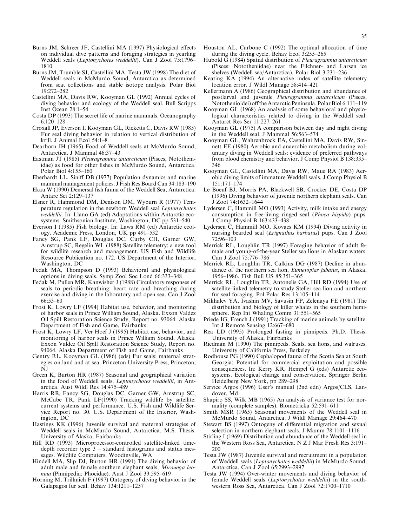- Burns JM, Schreer JF, Castellini MA (1997) Physiological effects on individual dive patterns and foraging strategies in yearling Weddell seals (Leptonychotes weddellii). Can J Zool 75:1796-1810
- Burns JM, Trumble SJ, Castellini MA, Testa JW (1998) The diet of Weddell seals in McMurdo Sound, Antarctica as determined from scat collections and stable isotope analysis. Polar Biol 19:272±282
- Castellini MA, Davis RW, Kooyman GL (1992) Annual cycles of diving behavior and ecology of the Weddell seal. Bull Scripps Inst Ocean  $28:1-54$
- Costa DP (1993) The secret life of marine mammals. Oceanography 6:120±128
- Croxall JP, Everson I, Kooyman GL, Ricketts C, Davis RW (1985) Fur seal diving behavior in relation to vertical distribution of krill. J Animal Ecol 54:1-8
- Dearborn JH (1965) Food of Weddell seals at McMurdo Sound, Antarctica. J Mammal 46:37-43
- Eastman JT (1985) Pleuragramma antarcticum (Pisces, Nototheniidae) as food for other fishes in McMurdo Sound, Antarctica. Polar Biol 4:155-160
- Eberhardt LL, Siniff DB (1977) Population dynamics and marine mammal management policies. J Fish Res Board Can 34:183–190
- Ekau W (1990) Demersal fish fauna of the Weddell Sea, Antarctica. Antarc Sci 2:129-137
- Elsner R, Hammond DM, Denison DM, Wyburn R (1977) Temperature regulation in the newborn Weddell seal Leptonychotes weddellii. In: Llano GA (ed) Adaptations within Antarctic ecosystems. Smithsonian Institute, Washington, DC pp  $531-540$
- Everson I (1985) Fish biology. In: Laws RM (ed) Antarctic ecology. Academic Press, London, UK pp 491-532
- Fancy SG, Pank LF, Douglas DC, Curby CH, Garner GW, Amstrup SC, Regelin WL (1988) Satellite telemetry: a new tool for wildlife research and management. US Fish and Wildlife Resource Publication no. 172. US Department of the Interior, Washington, DC
- Fedak MA, Thompson D (1993) Behavioral and physiological options in diving seals. Symp Zool Soc Lond 66:333±348
- Fedak M, Pullen MR, Kanwisher J (1988) Circulatory responses of seals to periodic breathing: heart rate and breathing during exercise and diving in the laboratory and open sea. Can J Zool  $66:53-60$
- Frost K, Lowry LF (1994) Habitat use, behavior, and monitoring of harbor seals in Prince William Sound, Alaska. Exxon Valdez Oil Spill Restoration Science Study, Report no. 93064. Alaska Department of Fish and Game, Fairbanks
- Frost K, Lowry LF, Ver Hoef J (1995) Habitat use, behavior, and monitoring of harbor seals in Prince William Sound, Alaska. Exxon Valdez Oil Spill Restoration Science Study, Report no. 94064. Alaska Department of Fish and Game, Fairbanks
- Gentry RL, Kooyman GL (1986) (eds) Fur seals: maternal strategies on land and at sea. Princeton University Press, Princeton, NJ
- Green K, Burton HR (1987) Seasonal and geographical variation in the food of Weddell seals, Leptonychotes weddellii, in Antarctica. Aust Wildl Res 14:475-489
- Harris RB, Fancy SG, Douglas DC, Garner GW, Amstrup SC, McCabe TR, Pank LF(1990) Tracking wildlife by satellite: current systems and performance. U.S. Fish and Wildlife Service Report no. 30. U.S. Department of the Interior, Washington, DC
- Hastings KK (1996) Juvenile survival and maternal strategies of Weddell seals in McMurdo Sound, Antarctica. M.S. Thesis. University of Alaska, Fairbanks
- Hill RD (1993) Microprocessor-controlled satellite-linked timedepth recorder type  $3 -$  standard histograms and status messages. Wildlife Computers, Woodinville, WA
- Hindell MA, Slip DJ, Burton HR (1991) The diving behavior of adult male and female southern elephant seals, Mirounga leonina (Pinnipedia: Phocidae). Aust J Zool 39:595-619
- Horning M, Trillmich F (1997) Ontogeny of diving behavior in the Galapagos fur seal. Behav  $134:1211-1257$
- Houston AL, Carbone C (1992) The optimal allocation of time during the diving cycle. Behav Ecol  $3:255-265$
- Hubold G (1984) Spatial distribution of Pleuragramma antarcticum (Pisces: Nototheniidae) near the Filchner- and Larsen ice shelves (Weddell sea/Antarctica). Polar Biol 3:231-236
- Keating KA (1994) An alternative index of satellite telemetry location error. J Wildl Manage 58:414-421
- Kellermann A (1986) Geographical distribution and abundance of postlarval and juvenile Pleuragramma antarcticum (Pisces, Notothenioidei) off the Antarctic Peninsula. Polar Biol 6:111-119
- Kooyman GL (1968) An analysis of some behavioral and physiological characteristics related to diving in the Weddell seal. Antarct Res Ser 11:227-261
- Kooyman GL (1975) A comparison between day and night diving in the Weddell seal. J Mammal 56:563-574
- Kooyman GL, Wahrenbrock EA, Castellini MA, Davis RW, Sinnett EE (1980) Aerobic and anaerobic metabolism during voluntary diving in Weddell seals: evidence of preferred pathways from blood chemistry and behavior. J Comp Physiol B 138:335– 346
- Kooyman GL, Castellini MA, Davis RW, Maue RA (1983) Aerobic diving limits of immature Weddell seals. J Comp Physiol B 151:171±174
- Le Boeuf BJ, Morris PA, Blackwell SB, Crocker DE, Costa DP (1996) Diving behavior of juvenile northern elephant seals. Can  $J Zool$  74:1632-1644
- Lydersen C, Hammill MO (1993) Activity, milk intake and energy consumption in free-living ringed seal (Phoca hispida) pups. J Comp Physiol B 163:433-438
- Lydersen C, Hammill MO, Kovacs KM (1994) Diving activity in nursing bearded seal (Erignathus barbatus) pups. Can J Zool  $72:96-103$
- Merrick RL, Loughlin TR (1997) Foraging behavior of adult female and young-of-the-year Steller sea lions in Alaskan waters. Can J Zool 75:776-786
- Merrick RL, Loughlin TR, Calkins DG (1987) Decline in abundance of the northern sea lion, Eumetopias jubatus, in Alaska, 1956–1986. Fish Bull US 85:351–365
- Merrick RL, Loughlin TR, Antonelis GA, Hill RD (1994) Use of satellite-linked telemetry to study Steller sea lion and northern fur seal foraging. Pol Polar Res 13:105-114
- Mikhalev YA, Ivashin MV, Savusin FP, Zelenaya FE (1981) The distribution and biology of killer whales in the southern hemisphere. Rep Int Whaling Comm 31:551-565
- Priede IG, French J (1991) Tracking of marine animals by satellite. Int J Remote Sensing 12:667-680
- Rea LD (1995) Prolonged fasting in pinnipeds. Ph.D. Thesis. University of Alaska, Fairbanks
- Riedman M (1990) The pinnipeds. Seals, sea lions, and walruses. University of California Press, Berkeley
- Rodhouse PG (1990) Cephalopod fauna of the Scotia Sea at South Georgia: Potential for commercial exploitation and possible consequences. In: Kerry KR, Hempel G (eds) Antarctic ecosystems. Ecological change and conservation. Springer Berlin Heidelberg New York, pp 289-298
- Service Argos (1996) User's manual (2nd edn) Argos/CLS, Landover, Md
- Shapiro SS, Wilk MB (1965) An analysis of variance test for normality (complete samples). Biometricka 52:591-611
- Smith MSR (1965) Seasonal movements of the Weddell seal in McMurdo Sound, Antarctica. J Wildl Manage 29:464-470
- Stewart BS (1997) Ontogeny of differential migration and sexual selection in northern elephant seals. J Mamm  $78:1101-1116$
- Stirling I (1969) Distribution and abundance of the Weddell seal in the Western Ross Sea, Antarctica. N Z J Mar Fresh Res 3:191-200
- Testa JW (1987) Juvenile survival and recruitment in a population of Weddell seals (Leptonychotes weddellii) in McMurdo Sound, Antarctica. Can J Zool 65:2993-2997
- Testa JW (1994) Over-winter movements and diving behavior of female Weddell seals (Leptonychotes weddellii) in the southwestern Ross Sea, Antarctica. Can J Zool 72:1700-1710